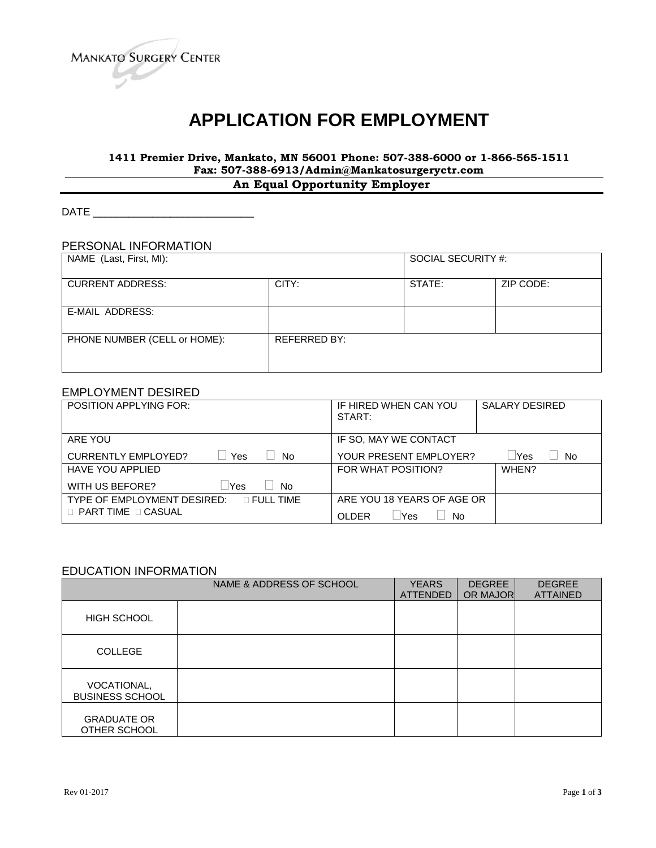

# **APPLICATION FOR EMPLOYMENT**

# **1411 Premier Drive, Mankato, MN 56001 Phone: 507-388-6000 or 1-866-565-1511 Fax: 507-388-6913/Admin@Mankatosurgeryctr.com**

**An Equal Opportunity Employer**

DATE \_\_\_\_\_\_\_\_\_\_\_\_\_\_\_\_\_\_\_\_\_\_\_\_\_\_\_

# PERSONAL INFORMATION

| NAME (Last, First, MI):      |                     | SOCIAL SECURITY #: |           |
|------------------------------|---------------------|--------------------|-----------|
| <b>CURRENT ADDRESS:</b>      | CITY:               | STATE:             | ZIP CODE: |
| E-MAIL ADDRESS:              |                     |                    |           |
| PHONE NUMBER (CELL or HOME): | <b>REFERRED BY:</b> |                    |           |

### EMPLOYMENT DESIRED

| <b>POSITION APPLYING FOR:</b>                     | IF HIRED WHEN CAN YOU<br>START:   | SALARY DESIRED |
|---------------------------------------------------|-----------------------------------|----------------|
| ARE YOU                                           | IF SO, MAY WE CONTACT             |                |
| <b>CURRENTLY EMPLOYED?</b><br>Yes<br><b>No</b>    | YOUR PRESENT EMPLOYER?            | Yes<br>No.     |
| <b>HAVE YOU APPLIED</b>                           | FOR WHAT POSITION?                | WHEN?          |
| Yes<br>WITH US BEFORE?<br><b>No</b>               |                                   |                |
| TYPE OF EMPLOYMENT DESIRED:<br>$\sqcap$ FULL TIME | ARE YOU 18 YEARS OF AGE OR        |                |
| $\Box$ PART TIME $\Box$ CASUAL                    | <b>OLDER</b><br><b>Yes</b><br>No. |                |

#### EDUCATION INFORMATION

|                                       | NAME & ADDRESS OF SCHOOL | <b>YEARS</b><br><b>ATTENDED</b> | <b>DEGREE</b><br>OR MAJOR | <b>DEGREE</b><br><b>ATTAINED</b> |
|---------------------------------------|--------------------------|---------------------------------|---------------------------|----------------------------------|
| <b>HIGH SCHOOL</b>                    |                          |                                 |                           |                                  |
| <b>COLLEGE</b>                        |                          |                                 |                           |                                  |
| VOCATIONAL,<br><b>BUSINESS SCHOOL</b> |                          |                                 |                           |                                  |
| <b>GRADUATE OR</b><br>OTHER SCHOOL    |                          |                                 |                           |                                  |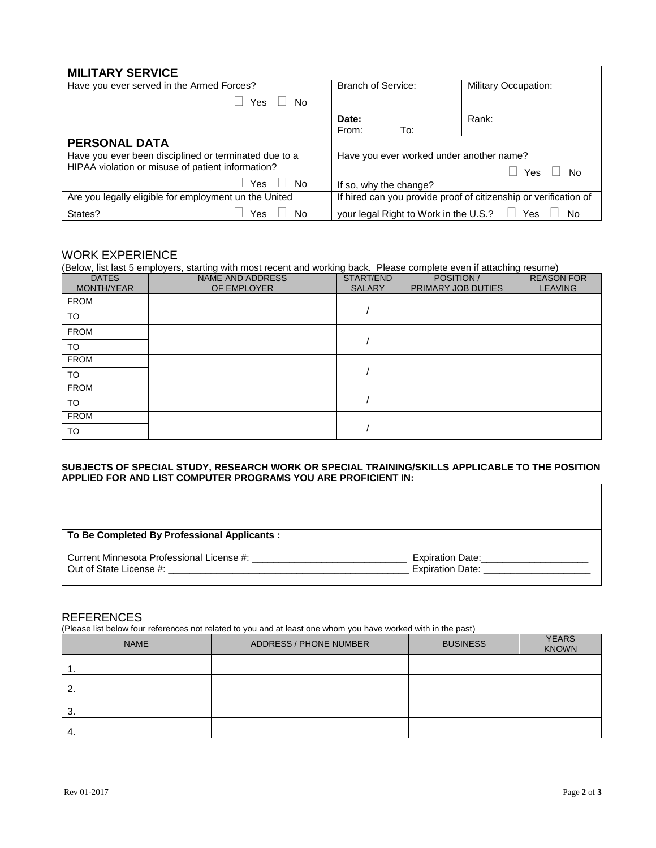| <b>MILITARY SERVICE</b>                               |                                                                  |  |  |
|-------------------------------------------------------|------------------------------------------------------------------|--|--|
| Have you ever served in the Armed Forces?             | <b>Branch of Service:</b><br><b>Military Occupation:</b>         |  |  |
| <b>Yes</b><br>No.                                     |                                                                  |  |  |
|                                                       | Date:<br>Rank:                                                   |  |  |
|                                                       | To:<br>From:                                                     |  |  |
| <b>PERSONAL DATA</b>                                  |                                                                  |  |  |
| Have you ever been disciplined or terminated due to a | Have you ever worked under another name?                         |  |  |
| HIPAA violation or misuse of patient information?     | Yes<br>No                                                        |  |  |
| Yes<br>- No                                           | If so, why the change?                                           |  |  |
| Are you legally eligible for employment un the United | If hired can you provide proof of citizenship or verification of |  |  |
| States?<br>No<br>Yes                                  | your legal Right to Work in the U.S.? $\Box$<br>Yes<br>No        |  |  |

# WORK EXPERIENCE

(Below, list last 5 employers, starting with most recent and working back. Please complete even if attaching resume)

| <b>DATES</b><br>MONTH/YEAR | NAME AND ADDRESS<br>OF EMPLOYER | START/END<br><b>SALARY</b> | POSITION /<br>PRIMARY JOB DUTIES | <b>REASON FOR</b><br><b>LEAVING</b> |
|----------------------------|---------------------------------|----------------------------|----------------------------------|-------------------------------------|
| <b>FROM</b>                |                                 |                            |                                  |                                     |
| TO                         |                                 |                            |                                  |                                     |
| <b>FROM</b>                |                                 |                            |                                  |                                     |
| <b>TO</b>                  |                                 |                            |                                  |                                     |
| <b>FROM</b>                |                                 |                            |                                  |                                     |
| TO.                        |                                 |                            |                                  |                                     |
| <b>FROM</b>                |                                 |                            |                                  |                                     |
| <b>TO</b>                  |                                 |                            |                                  |                                     |
| <b>FROM</b>                |                                 |                            |                                  |                                     |
| <b>TO</b>                  |                                 |                            |                                  |                                     |

#### **SUBJECTS OF SPECIAL STUDY, RESEARCH WORK OR SPECIAL TRAINING/SKILLS APPLICABLE TO THE POSITION APPLIED FOR AND LIST COMPUTER PROGRAMS YOU ARE PROFICIENT IN:**

| To Be Completed By Professional Applicants : |                                             |
|----------------------------------------------|---------------------------------------------|
| Current Minnesota Professional License #:    | Expiration Date:<br><b>Expiration Date:</b> |

#### REFERENCES

(Please list below four references not related to you and at least one whom you have worked with in the past)

| <b>NAME</b> | ADDRESS / PHONE NUMBER | <b>BUSINESS</b> | <b>YEARS</b><br><b>KNOWN</b> |
|-------------|------------------------|-----------------|------------------------------|
|             |                        |                 |                              |
| 2.          |                        |                 |                              |
| 3.          |                        |                 |                              |
| -4.         |                        |                 |                              |